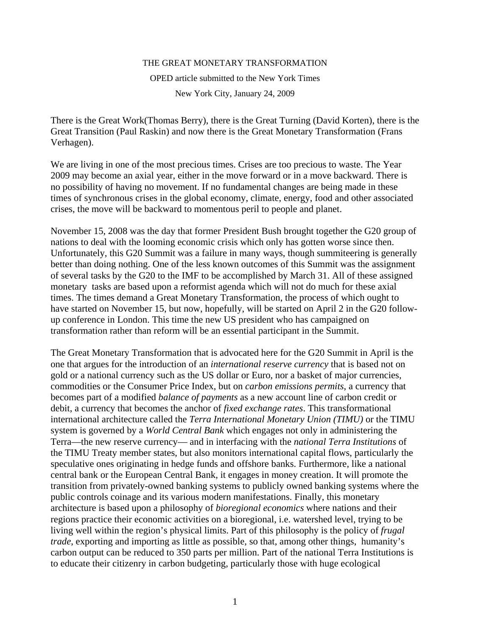## THE GREAT MONETARY TRANSFORMATION

OPED article submitted to the New York Times New York City, January 24, 2009

There is the Great Work(Thomas Berry), there is the Great Turning (David Korten), there is the Great Transition (Paul Raskin) and now there is the Great Monetary Transformation (Frans Verhagen).

We are living in one of the most precious times. Crises are too precious to waste. The Year 2009 may become an axial year, either in the move forward or in a move backward. There is no possibility of having no movement. If no fundamental changes are being made in these times of synchronous crises in the global economy, climate, energy, food and other associated crises, the move will be backward to momentous peril to people and planet.

November 15, 2008 was the day that former President Bush brought together the G20 group of nations to deal with the looming economic crisis which only has gotten worse since then. Unfortunately, this G20 Summit was a failure in many ways, though summiteering is generally better than doing nothing. One of the less known outcomes of this Summit was the assignment of several tasks by the G20 to the IMF to be accomplished by March 31. All of these assigned monetary tasks are based upon a reformist agenda which will not do much for these axial times. The times demand a Great Monetary Transformation, the process of which ought to have started on November 15, but now, hopefully, will be started on April 2 in the G20 followup conference in London. This time the new US president who has campaigned on transformation rather than reform will be an essential participant in the Summit.

The Great Monetary Transformation that is advocated here for the G20 Summit in April is the one that argues for the introduction of an *international reserve currency* that is based not on gold or a national currency such as the US dollar or Euro, nor a basket of major currencies, commodities or the Consumer Price Index, but on *carbon emissions permits*, a currency that becomes part of a modified *balance of payments* as a new account line of carbon credit or debit, a currency that becomes the anchor of *fixed exchange rates*. This transformational international architecture called the *Terra International Monetary Union (TIMU)* or the TIMU system is governed by a *World Central Bank* which engages not only in administering the Terra—the new reserve currency— and in interfacing with the *national Terra Institutions* of the TIMU Treaty member states, but also monitors international capital flows, particularly the speculative ones originating in hedge funds and offshore banks. Furthermore, like a national central bank or the European Central Bank, it engages in money creation. It will promote the transition from privately-owned banking systems to publicly owned banking systems where the public controls coinage and its various modern manifestations. Finally, this monetary architecture is based upon a philosophy of *bioregional economics* where nations and their regions practice their economic activities on a bioregional, i.e. watershed level, trying to be living well within the region's physical limits. Part of this philosophy is the policy of *frugal trade*, exporting and importing as little as possible, so that, among other things, humanity's carbon output can be reduced to 350 parts per million. Part of the national Terra Institutions is to educate their citizenry in carbon budgeting, particularly those with huge ecological